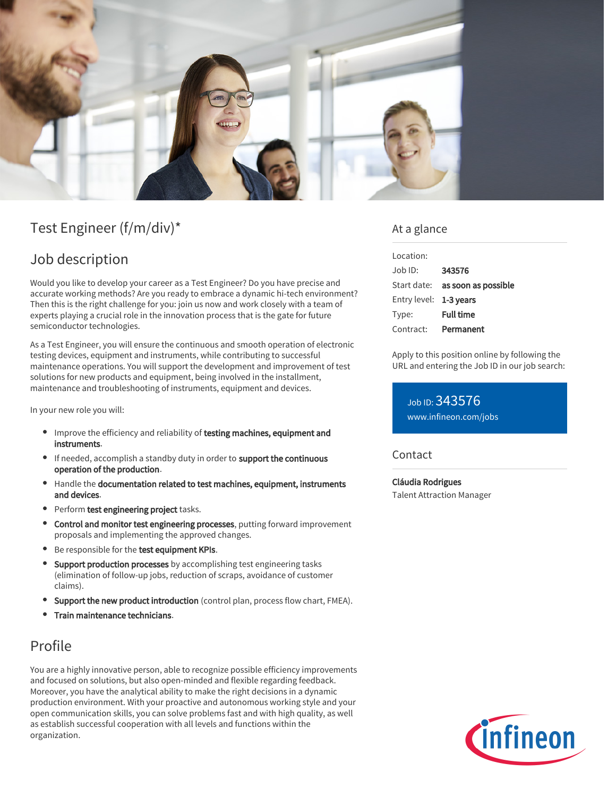

# Test Engineer (f/m/div)\*

# Job description

Would you like to develop your career as a Test Engineer? Do you have precise and accurate working methods? Are you ready to embrace a dynamic hi-tech environment? Then this is the right challenge for you: join us now and work closely with a team of experts playing a crucial role in the innovation process that is the gate for future semiconductor technologies.

As a Test Engineer, you will ensure the continuous and smooth operation of electronic testing devices, equipment and instruments, while contributing to successful maintenance operations. You will support the development and improvement of test solutions for new products and equipment, being involved in the installment, maintenance and troubleshooting of instruments, equipment and devices.

In your new role you will:

- Improve the efficiency and reliability of testing machines, equipment and instruments.
- If needed, accomplish a standby duty in order to support the continuous operation of the production.
- Handle the documentation related to test machines, equipment, instruments and devices.
- Perform test engineering project tasks.
- **Control and monitor test engineering processes**, putting forward improvement proposals and implementing the approved changes.
- **Be responsible for the test equipment KPIs.**
- Support production processes by accomplishing test engineering tasks (elimination of follow-up jobs, reduction of scraps, avoidance of customer claims).
- Support the new product introduction (control plan, process flow chart, FMEA).
- Train maintenance technicians.

# Profile

You are a highly innovative person, able to recognize possible efficiency improvements and focused on solutions, but also open-minded and flexible regarding feedback. Moreover, you have the analytical ability to make the right decisions in a dynamic production environment. With your proactive and autonomous working style and your open communication skills, you can solve problems fast and with high quality, as well as establish successful cooperation with all levels and functions within the organization.

### At a glance

| Location:              |                                        |
|------------------------|----------------------------------------|
| Job ID:                | 343576                                 |
|                        | Start date: <b>as soon as possible</b> |
| Entry level: 1-3 years |                                        |
| Type:                  | <b>Full time</b>                       |
| Contract:              | Permanent                              |

Apply to this position online by following the URL and entering the Job ID in our job search:

Job ID: 343576 [www.infineon.com/jobs](https://www.infineon.com/jobs)

### **Contact**

Cláudia Rodrigues Talent Attraction Manager